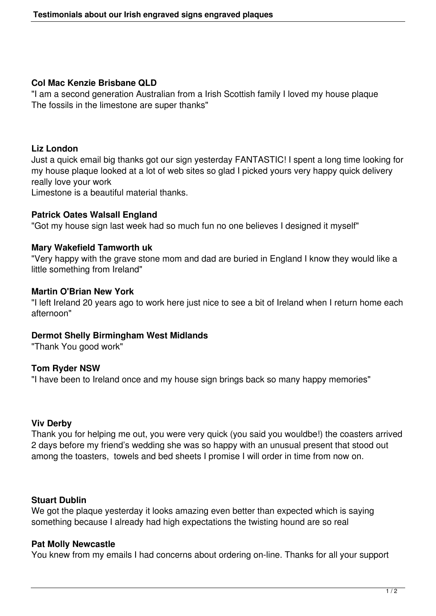# **Col Mac Kenzie Brisbane QLD**

"I am a second generation Australian from a Irish Scottish family I loved my house plaque The fossils in the limestone are super thanks"

# **Liz London**

Just a quick email big thanks got our sign yesterday FANTASTIC! I spent a long time looking for my house plaque looked at a lot of web sites so glad I picked yours very happy quick delivery really love your work

Limestone is a beautiful material thanks.

## **Patrick Oates Walsall England**

"Got my house sign last week had so much fun no one believes I designed it myself"

## **Mary Wakefield Tamworth uk**

"Very happy with the grave stone mom and dad are buried in England I know they would like a little something from Ireland"

## **Martin O'Brian New York**

"I left Ireland 20 years ago to work here just nice to see a bit of Ireland when I return home each afternoon"

#### **Dermot Shelly Birmingham West Midlands**

"Thank You good work"

# **Tom Ryder NSW**

"I have been to Ireland once and my house sign brings back so many happy memories"

#### **Viv Derby**

Thank you for helping me out, you were very quick (you said you wouldbe!) the coasters arrived 2 days before my friend's wedding she was so happy with an unusual present that stood out among the toasters, towels and bed sheets I promise I will order in time from now on.

#### **Stuart Dublin**

We got the plaque yesterday it looks amazing even better than expected which is saying something because I already had high expectations the twisting hound are so real

#### **Pat Molly Newcastle**

You knew from my emails I had concerns about ordering on-line. Thanks for all your support